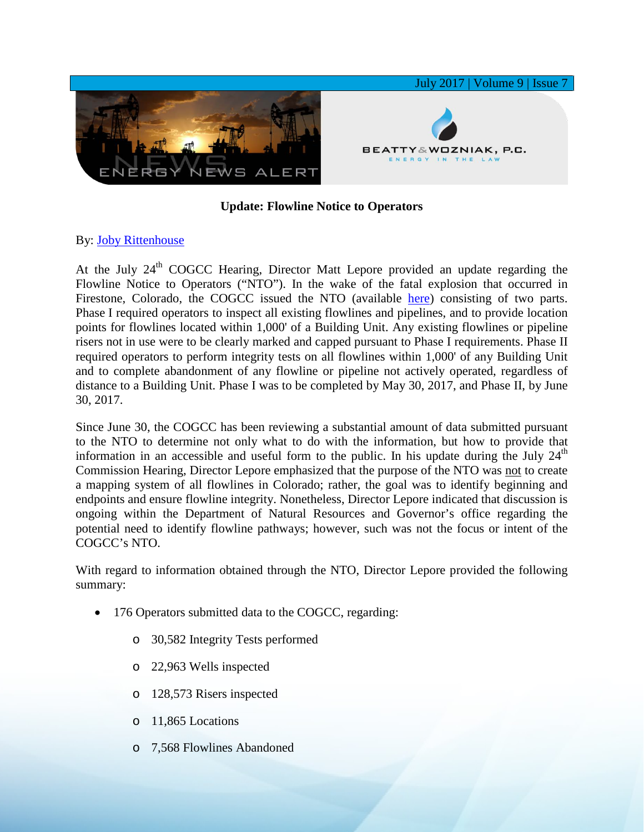

## **Update: Flowline Notice to Operators**

## By: [Joby Rittenhouse](https://www.bwenergylaw.com/joby-rittenhouse)

At the July  $24<sup>th</sup>$  COGCC Hearing, Director Matt Lepore provided an update regarding the Flowline Notice to Operators ("NTO"). In the wake of the fatal explosion that occurred in Firestone, Colorado, the COGCC issued the NTO (available [here\)](https://cogcc.state.co.us/documents/home/announcements/Flowline_Notice_to_Operators_20170502.pdf) consisting of two parts. Phase I required operators to inspect all existing flowlines and pipelines, and to provide location points for flowlines located within 1,000' of a Building Unit. Any existing flowlines or pipeline risers not in use were to be clearly marked and capped pursuant to Phase I requirements. Phase II required operators to perform integrity tests on all flowlines within 1,000' of any Building Unit and to complete abandonment of any flowline or pipeline not actively operated, regardless of distance to a Building Unit. Phase I was to be completed by May 30, 2017, and Phase II, by June 30, 2017.

Since June 30, the COGCC has been reviewing a substantial amount of data submitted pursuant to the NTO to determine not only what to do with the information, but how to provide that information in an accessible and useful form to the public. In his update during the July  $24<sup>th</sup>$ Commission Hearing, Director Lepore emphasized that the purpose of the NTO was not to create a mapping system of all flowlines in Colorado; rather, the goal was to identify beginning and endpoints and ensure flowline integrity. Nonetheless, Director Lepore indicated that discussion is ongoing within the Department of Natural Resources and Governor's office regarding the potential need to identify flowline pathways; however, such was not the focus or intent of the COGCC's NTO.

With regard to information obtained through the NTO, Director Lepore provided the following summary:

- 176 Operators submitted data to the COGCC, regarding:
	- o 30,582 Integrity Tests performed
	- o 22,963 Wells inspected
	- o 128,573 Risers inspected
	- o 11,865 Locations
	- o 7,568 Flowlines Abandoned